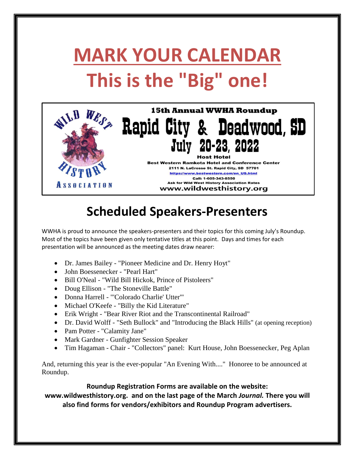## **MARK YOUR CALENDAR This is the "Big" one!**



## **Scheduled Speakers-Presenters**

WWHA is proud to announce the speakers-presenters and their topics for this coming July's Roundup. Most of the topics have been given only tentative titles at this point. Days and times for each presentation will be announced as the meeting dates draw nearer:

- Dr. James Bailey "Pioneer Medicine and Dr. Henry Hoyt"
- John Boessenecker "Pearl Hart"
- Bill O'Neal "Wild Bill Hickok, Prince of Pistoleers"
- Doug Ellison "The Stoneville Battle"
- Donna Harrell "'Colorado Charlie' Utter'"
- Michael O'Keefe "Billy the Kid Literature"
- Erik Wright "Bear River Riot and the Transcontinental Railroad"
- Dr. David Wolff "Seth Bullock" and "Introducing the Black Hills" (at opening reception)
- Pam Potter "Calamity Jane"
- Mark Gardner Gunfighter Session Speaker
- Tim Hagaman Chair "Collectors" panel: Kurt House, John Boessenecker, Peg Aplan

And, returning this year is the ever-popular "An Evening With...." Honoree to be announced at Roundup.

## **Roundup Registration Forms are available on the website:**

**www.wildwesthistory.org. and on the last page of the March** *Journal.* **There you will also find forms for vendors/exhibitors and Roundup Program advertisers.**